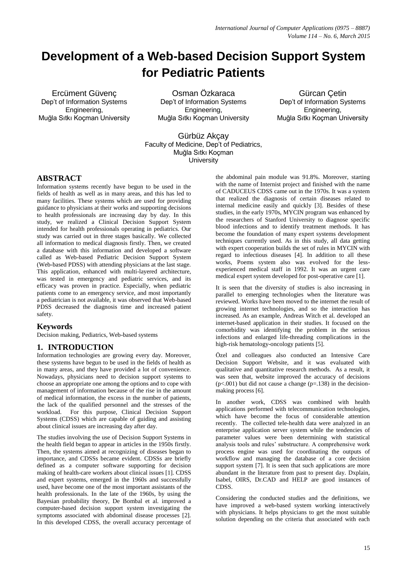# **Development of a Web-based Decision Support System for Pediatric Patients**

Ercüment Güvenç Dep't of Information Systems Engineering, Muğla Sıtkı Koçman University

Osman Özkaraca Dep't of Information Systems Engineering, Muğla Sıtkı Koçman University

Gürcan Çetin Dep't of Information Systems Engineering, Muğla Sıtkı Koçman University

## Gürbüz Akçay Faculty of Medicine, Dep't of Pediatrics, Muğla Sıtkı Koçman **University**

## **ABSTRACT**

Information systems recently have begun to be used in the fields of health as well as in many areas, and this has led to many facilities. These systems which are used for providing guidance to physicians at their works and supporting decisions to health professionals are increasing day by day. In this study, we realized a Clinical Decision Support System intended for health professionals operating in pediatrics. Our study was carried out in three stages basically. We collected all information to medical diagnosis firstly. Then, we created a database with this information and developed a software called as Web-based Pediatric Decision Support System (Web-based PDSS) with attending physicians at the last stage. This application, enhanced with multi-layered architecture, was tested in emergency and pediatric services, and its efficacy was proven in practice. Especially, when pediatric patients come to an emergency service, and most importantly a pediatrician is not available, it was observed that Web-based PDSS decreased the diagnosis time and increased patient safety.

## **Keywords**

Decision making, Pediatrics, Web-based systems

#### **1. INTRODUCTION**

Information technologies are growing every day. Moreover, these systems have begun to be used in the fields of health as in many areas, and they have provided a lot of convenience. Nowadays, physicians need to decision support systems to choose an appropriate one among the options and to cope with management of information because of the rise in the amount of medical information, the excess in the number of patients, the lack of the qualified personnel and the stresses of the workload. For this purpose, Clinical Decision Support Systems (CDSS) which are capable of guiding and assisting about clinical issues are increasing day after day.

The studies involving the use of Decision Support Systems in the health field began to appear in articles in the 1950s firstly. Then, the systems aimed at recognizing of diseases began to importance, and CDSSs became evident. CDSSs are briefly defined as a computer software supporting for decision making of health-care workers about clinical issues [1]. CDSS and expert systems, emerged in the 1960s and successfully used, have become one of the most important assistants of the health professionals. In the late of the 1960s, by using the Bayesian probability theory, De Bombal et al. improved a computer-based decision support system investigating the symptoms associated with abdominal disease processes [2]. In this developed CDSS, the overall accuracy percentage of the abdominal pain module was 91.8%. Moreover, starting with the name of Internist project and finished with the name of CADUCEUS CDSS came out in the 1970s. It was a system that realized the diagnosis of certain diseases related to internal medicine easily and quickly [3]. Besides of these studies, in the early 1970s, MYCIN program was enhanced by the researchers of Stanford University to diagnose specific blood infections and to identify treatment methods. It has become the foundation of many expert systems development techniques currently used. As in this study, all data getting with expert cooperation builds the set of rules in MYCIN with regard to infectious diseases [4]. In addition to all these works, Poems system also was evolved for the lessexperienced medical staff in 1992. It was an urgent care medical expert system developed for post-operative care [1].

It is seen that the diversity of studies is also increasing in parallel to emerging technologies when the literature was reviewed. Works have been moved to the internet the result of growing internet technologies, and so the interaction has increased. As an example, Andreas Witch et al. developed an internet-based application in their studies. It focused on the comorbidity was identifying the problem in the serious infections and enlarged life-threading complications in the high-risk hematology-oncology patients [5].

Özel and colleagues also conducted an Intensive Care Decision Support Website, and it was evaluated with qualitative and quantitative research methods. As a result, it was seen that, website improved the accuracy of decisions  $(p<.001)$  but did not cause a change  $(p=.138)$  in the decisionmaking process [6].

In another work, CDSS was combined with health applications performed with telecommunication technologies, which have become the focus of considerable attention recently. The collected tele-health data were analyzed in an enterprise application server system while the tendencies of parameter values were been determining with statistical analysis tools and rules' substructure. A comprehensive work process engine was used for coordinating the outputs of workflow and managing the database of a core decision support system [7]. It is seen that such applications are more abundant in the literature from past to present day. Dxplain, Isabel, OIRS, Dr.CAD and HELP are good instances of CDSS.

Considering the conducted studies and the definitions, we have improved a web-based system working interactively with physicians. It helps physicians to get the most suitable solution depending on the criteria that associated with each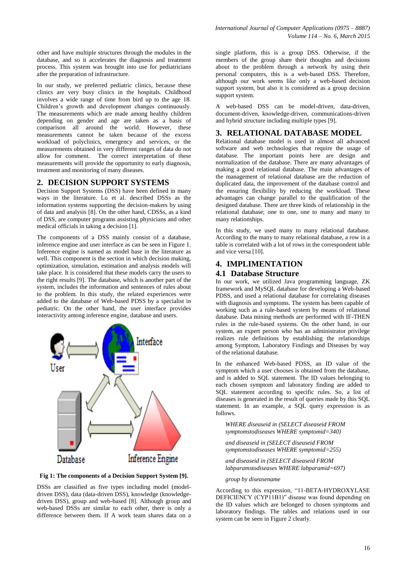other and have multiple structures through the modules in the database, and so it accelerates the diagnosis and treatment process. This system was brought into use for pediatricians after the preparation of infrastructure.

In our study, we preferred pediatric clinics, because these clinics are very busy clinics in the hospitals. Childhood involves a wide range of time from bird up to the age 18. Children's growth and development changes continuously. The measurements which are made among healthy children depending on gender and age are taken as a basis of comparison all around the world. However, these measurements cannot be taken because of the excess workload of polyclinics, emergency and services, or the measurements obtained in very different ranges of data do not allow for comment. The correct interpretation of these measurements will provide the opportunity to early diagnosis, treatment and monitoring of many diseases.

#### **2. DECISION SUPPORT SYSTEMS**

Decision Support Systems (DSS) have been defined in many ways in the literature. Lu et al. described DSSs as the information systems supporting the decision-makers by using of data and analysis [8]. On the other hand, CDSSs, as a kind of DSS, are computer programs assisting physicians and other medical officials in taking a decision [1].

The components of a DSS mainly consist of a database, inference engine and user interface as can be seen in Figure 1. Inference engine is named as model base in the literature as well. This component is the section in which decision making, optimization, simulation, estimation and analysis models will take place. It is considered that these models carry the users to the right results [9]. The database, which is another part of the system, includes the information and sentences of rules about to the problem. In this study, the related experiences were added to the database of Web-based PDSS by a specialist in pediatric. On the other hand, the user interface provides interactivity among inference engine, database and users.



**Fig 1: The components of a Decision Support System [9].**

DSSs are classified as five types including model (modeldriven DSS), data (data-driven DSS), knowledge (knowledgedriven DSS), group and web-based [8]. Although group and web-based DSSs are similar to each other, there is only a difference between them. If A work team shares data on a

single platform, this is a group DSS. Otherwise, if the members of the group share their thoughts and decisions about to the problem through a network by using their personal computers, this is a web-based DSS. Therefore, although our work seems like only a web-based decision support system, but also it is considered as a group decision support system.

A web-based DSS can be model-driven, data-driven, document-driven, knowledge-driven, communications-driven and hybrid structure including multiple types [9].

#### **3. RELATIONAL DATABASE MODEL**

Relational database model is used in almost all advanced software and web technologies that require the usage of database. The important points here are design and normalization of the database. There are many advantages of making a good relational database. The main advantages of the management of relational database are the reduction of duplicated data, the improvement of the database control and the ensuring flexibility by reducing the workload. These advantages can change parallel to the qualification of the designed database. There are three kinds of relationship in the relational database; one to one, one to many and many to many relationships.

In this study, we used many to many relational database. According to the many to many relational database, a row in a table is correlated with a lot of rows in the correspondent table and vice versa [10].

# **4. IMPLIMENTATION**

#### **4.1 Database Structure**

In our work, we utilized Java programming language, ZK framework and MySQL database for developing a Web-based PDSS, and used a relational database for correlating diseases with diagnosis and symptoms. The system has been capable of working such as a rule-based system by means of relational database. Data mining methods are performed with IF-THEN rules in the rule-based systems. On the other hand, in our system, an expert person who has an administrator privilege realizes rule definitions by establishing the relationships among Symptom, Laboratory Findings and Diseases by way of the relational database.

In the enhanced Web-based PDSS, an ID value of the symptom which a user chooses is obtained from the database, and is added to SQL statement. The ID values belonging to each chosen symptom and laboratory finding are added to SOL statement according to specific rules. So, a list of diseases is generated in the result of queries made by this SQL statement. In an example, a SQL query expression is as follows.

*WHERE diseaseid in (SELECT diseaseid FROM symptomstodiseases WHERE symptomid=340)* 

*and diseaseid in (SELECT diseaseid FROM symptomstodiseases WHERE symptomid=255)* 

*and diseaseid in (SELECT diseaseid FROM labparamstodiseases WHERE labparamid=697)* 

*group by diseasename*

According to this expression, "11-BETA-HYDROXYLASE DEFICIENCY (CYP11B1)" disease was found depending on the ID values which are belonged to chosen symptoms and laboratory findings. The tables and relations used in our system can be seen in Figure 2 clearly.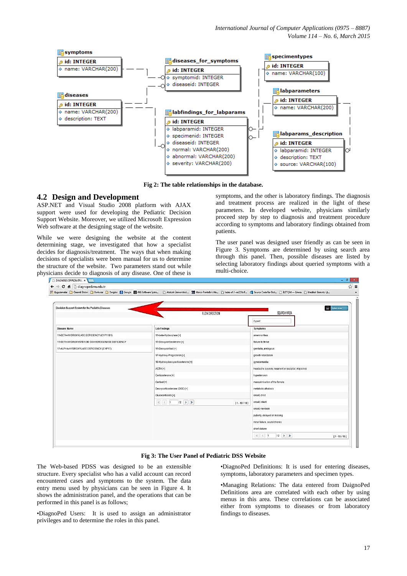

**Fig 2: The table relationships in the database.**

## **4.2 Design and Development**

ASP.NET and Visual Studio 2008 platform with AJAX support were used for developing the Pediatric Decision Support Website. Moreover, we utilized Microsoft Expression Web software at the designing stage of the website.

While we were designing the website at the content determining stage, we investigated that how a specialist decides for diagnosis/treatment. The ways that when making decisions of specialists were been manual for us to determine the structure of the website. Two parameters stand out while physicians decide to diagnosis of any disease. One of these is

symptoms, and the other is laboratory findings. The diagnosis and treatment process are realized in the light of these parameters. In developed website, physicians similarly proceed step by step to diagnosis and treatment procedure according to symptoms and laboratory findings obtained from patients.

The user panel was designed user friendly as can be seen in Figure 3. Symptoms are determined by using search area through this panel. Then, possible diseases are listed by selecting laboratory findings about queried symptoms with a multi-choice.

al vil

|                                                                  | Admin Area                                          |  |
|------------------------------------------------------------------|-----------------------------------------------------|--|
| <b>FLOW DIRECTION</b>                                            | SEARCH AREA                                         |  |
|                                                                  | hypert                                              |  |
| <b>Lab Findings</b>                                              | Symptoms                                            |  |
| 11-beta-Hydroxylase [+]                                          | amennorrhea                                         |  |
| 11-Deoxycorticosterone [+]                                       | failure to thrive                                   |  |
| 11-Deoxycortisol [+]                                             | genitalia, ambigous                                 |  |
| 17-Hydroxy-Progesteron [+]                                       | growth retardation                                  |  |
| 18-Hydroxydeoxycorticosterone [+]                                | gynecomasta                                         |  |
| ACTH [+]                                                         | headache (severe, recurrent or occipital, migraine) |  |
| Corticosterone [+]                                               | hypertension                                        |  |
| Cortisol [+]                                                     | masculinisation of the female                       |  |
| Deoxycorticosterone (DOC) [+]                                    | metabolic alkalosis                                 |  |
| Glucocorticoids [+]                                              | onset, child                                        |  |
| $\  \mathcal{K} \ $ $\  \leq 1$<br>$12$ > $\gg$<br>$[1 - 10/18]$ | onset, infant                                       |  |
|                                                                  | onset, newborn                                      |  |
|                                                                  | puberty, delayed or missing                         |  |
|                                                                  | renal failure, acute/chronic                        |  |
|                                                                  | short stature                                       |  |
|                                                                  |                                                     |  |

**Fig 3: The User Panel of Pediatric DSS Website**

The Web-based PDSS was designed to be an extensible structure. Every specialist who has a valid account can record encountered cases and symptoms to the system. The data entry menu used by physicians can be seen in Figure 4. It shows the administration panel, and the operations that can be performed in this panel is as follows;

•DiagnoPed Users: It is used to assign an administrator privileges and to determine the roles in this panel.

•DiagnoPed Definitions: It is used for entering diseases, symptoms, laboratory parameters and specimen types.

•Managing Relations: The data entered from DaignoPed Definitions area are correlated with each other by using menus in this area. These correlations can be associated either from symptoms to diseases or from laboratory findings to diseases.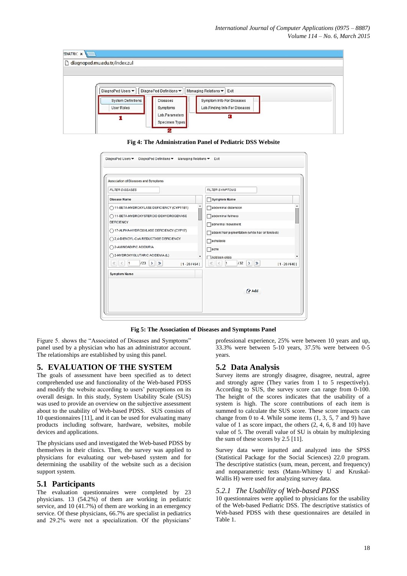

**Fig 4: The Administration Panel of Pediatric DSS Website**

| Association of Diseases and Symptoms                                               |                                                                       |
|------------------------------------------------------------------------------------|-----------------------------------------------------------------------|
| <b>FILTER DISEASES</b>                                                             | <b>FILTER SYMPTOMS</b>                                                |
| <b>Disease Name</b>                                                                | <b>Symptom Name</b>                                                   |
| ۸<br>11-BETA-HYDROXYLASE DEFICIENCY (CYP11B1)                                      | abdominal distension                                                  |
| ◯ 11-BETA-HYDROXYSTEROID DEHYDROGENASE                                             | abdominal fullness                                                    |
| <b>DEFICIENCY</b>                                                                  | abnormal movement                                                     |
| 17-ALPHA-HYDROXYLASE DEFICIENCY (CYP17)                                            | absent hair pigmentation (white hair or forelock)                     |
| ◯ 2,4-DIENOYL-CoA REDUCTASE DEFICIENCY                                             | achalasia                                                             |
| 2-AMINOADIPIC ACIDURIA                                                             | $\sqrt{a}$                                                            |
| 2-HYDROXYGLUTARIC ACIDEMIA (L)                                                     | Addison crisis                                                        |
| 123<br>$\vert$ 1<br>$\rightarrow$<br>$\gg$<br>$\ll$<br>$\langle$<br>$[1 - 20/454]$ | $\ll$<br>132<br>$>$ $\gg$<br>$\vert$ 1<br>$\langle$<br>$[1 - 20/640]$ |
| <b>Symptom Name</b>                                                                |                                                                       |
|                                                                                    |                                                                       |
|                                                                                    | <b>ZAdd</b>                                                           |

**Fig 5: The Association of Diseases and Symptoms Panel**

Figure 5. shows the "Associated of Diseases and Symptoms" panel used by a physician who has an administrator account. The relationships are established by using this panel.

## **5. EVALUATION OF THE SYSTEM**

The goals of assessment have been specified as to detect comprehended use and functionality of the Web-based PDSS and modify the website according to users' perceptions on its overall design. In this study, System Usability Scale (SUS) was used to provide an overview on the subjective assessment about to the usability of Web-based PDSS. SUS consists of 10 questionnaires [11], and it can be used for evaluating many products including software, hardware, websites, mobile devices and applications.

The physicians used and investigated the Web-based PDSS by themselves in their clinics. Then, the survey was applied to physicians for evaluating our web-based system and for determining the usability of the website such as a decision support system.

## **5.1 Participants**

The evaluation questionnaires were completed by 23 physicians. 13 (54.2%) of them are working in pediatric service, and 10 (41.7%) of them are working in an emergency service. Of these physicians, 66.7% are specialist in pediatrics and 29.2% were not a specialization. Of the physicians'

professional experience, 25% were between 10 years and up, 33.3% were between 5-10 years, 37.5% were between 0-5 years.

## **5.2 Data Analysis**

Survey items are strongly disagree, disagree, neutral, agree and strongly agree (They varies from 1 to 5 respectively). According to SUS, the survey score can range from 0-100. The height of the scores indicates that the usability of a system is high. The score contributions of each item is summed to calculate the SUS score. These score impacts can change from 0 to 4. While some items  $(1, 3, 5, 7, 7, 9)$  have value of 1 as score impact, the others (2, 4, 6, 8 and 10) have value of 5. The overall value of SU is obtain by multiplexing the sum of these scores by 2.5 [11].

Survey data were inputted and analyzed into the SPSS (Statistical Package for the Social Sciences) 22.0 program. The descriptive statistics (sum, mean, percent, and frequency) and nonparametric tests (Mann-Whitney U and Kruskal-Wallis H) were used for analyzing survey data.

#### *5.2.1 The Usability of Web-based PDSS*

10 questionnaires were applied to physicians for the usability of the Web-based Pediatric DSS. The descriptive statistics of Web-based PDSS with these questionnaires are detailed in Table 1.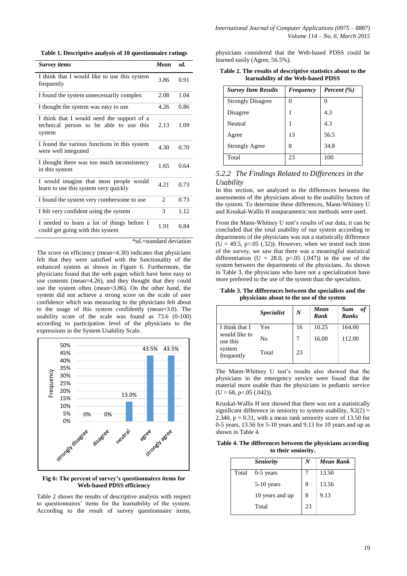**Table 1. Descriptive analysis of 10 questionnaire ratings**

| Survey items                                                                                    | Mean                        | sd.               |
|-------------------------------------------------------------------------------------------------|-----------------------------|-------------------|
| I think that I would like to use this system<br>frequently                                      | 3.86                        | 0.91              |
| I found the system unnecessarily complex                                                        | 2.08                        | 1.04              |
| I thought the system was easy to use                                                            | 4.26                        | 0.86              |
| I think that I would need the support of a<br>technical person to be able to use this<br>system | 2.13                        | 1.09              |
| I found the various functions in this system<br>were well integrated                            | 4.30                        | 0.70              |
| I thought there was too much inconsistency<br>in this system                                    | 1.65                        | 0.64              |
| I would imagine that most people would<br>learn to use this system very quickly                 | 4.21                        | 0.73              |
| I found the system very cumbersome to use                                                       | $\mathcal{D}_{\mathcal{L}}$ | 0.73              |
| I felt very confident using the system                                                          | 3                           | 1.12              |
| I needed to learn a lot of things before I<br>could get going with this system<br>sta 11        | 1.91<br>$1 - 1 - 1$         | 0.84<br>$\ddotsc$ |

\*sd.=standard deviation

The score on efficiency (mean=4.30) indicates that physicians felt that they were satisfied with the functionality of the enhanced system as shown in Figure 6. Furthermore, the physicians found that the web pages which have been easy to use contents (mean=4.26), and they thought that they could use the system often (mean=3.86). On the other hand, the system did not achieve a strong score on the scale of user confidence which was measuring to the physicians felt about to the usage of this system confidently (mean=3.0). The usability score of the scale was found as 73.6 (0-100) according to participation level of the physicians to the expressions in the System Usability Scale.





Table 2 shows the results of descriptive analysis with respect to questionnaires' items for the learnability of the system. According to the result of survey questionnaire items, physicians considered that the Web-based PDSS could be learned easily (Agree, 56.5%).

| Table 2. The results of descriptive statistics about to the |  |
|-------------------------------------------------------------|--|
| learnability of the Web-based PDSS                          |  |

| <b>Survey Item Results</b> | Frequency | Percent (%) |
|----------------------------|-----------|-------------|
| <b>Strongly Disagree</b>   | 0         |             |
| Disagree                   |           | 4.3         |
| Neutral                    | 1         | 4.3         |
| Agree                      | 13        | 56.5        |
| <b>Strongly Agree</b>      | 8         | 34.8        |
| Total                      | 23        | 100         |

#### *5.2.2 The Findings Related to Differences in the Usability*

In this section, we analyzed to the differences between the assessments of the physicians about to the usability factors of the system. To determine these differences, Mann-Whitney U and Kruskal-Wallis H nonparametric test methods were used.

From the Mann-Whitney U test's results of our data, it can be concluded that the total usability of our system according to departments of the physicians was not a statistically difference  $(U = 49.5, p > 0.05$  (.32)). However, when we tested each item of the survey, we saw that there was a meaningful statistical differentiation (U = 28.0, p < 05 (.047)) in the use of the system between the departments of the physicians. As shown in Table 3, the physicians who have not a specialization have more preferred to the use of the system than the specialists.

**Table 3. The differences between the specialists and the physicians about to the use of the system**

|                                                   | <i><b>Specialist</b></i> | N  | Mean<br>Rank | Sum<br>оf<br>Ranks |
|---------------------------------------------------|--------------------------|----|--------------|--------------------|
| I think that I                                    | <b>Yes</b>               | 16 | 10.25        | 164.00             |
| would like to<br>use this<br>system<br>frequently | No                       |    | 16.00        | 112.00             |
|                                                   | Total                    | 23 |              |                    |

The Mann-Whitney U test's results also showed that the physicians in the emergency service were found that the material more usable than the physicians in pediatric service  $(U = 68, p < .05 (.042)).$ 

Kruskal-Wallis H test showed that there was not a statistically significant difference in seniority to system usability,  $X2(2) =$ 2.340,  $p = 0.31$ , with a mean rank seniority score of 13.50 for 0-5 years, 13.56 for 5-10 years and 9.13 for 10 years and up as shown in Table 4.

**Table 4. The differences between the physicians according to their seniority.**

|       | <b>Seniority</b> | N  | <b>Mean Rank</b> |
|-------|------------------|----|------------------|
| Total | $0-5$ years      |    | 13.50            |
|       | $5-10$ years     | 8  | 13.56            |
|       | 10 years and up  | 8  | 9.13             |
|       | Total            | 23 |                  |